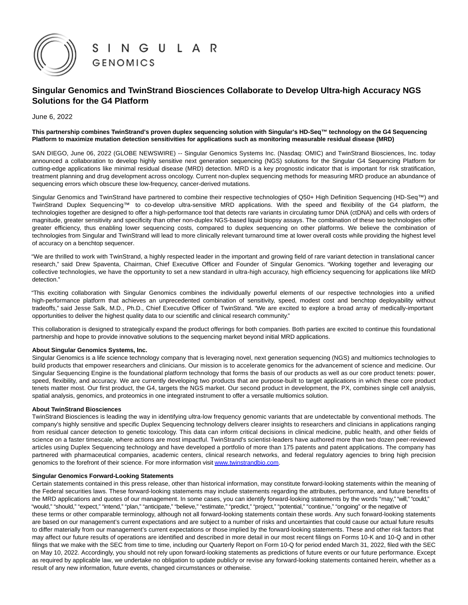

# **Singular Genomics and TwinStrand Biosciences Collaborate to Develop Ultra-high Accuracy NGS Solutions for the G4 Platform**

June 6, 2022

## **This partnership combines TwinStrand's proven duplex sequencing solution with Singular's HD-Seq™ technology on the G4 Sequencing Platform to maximize mutation detection sensitivities for applications such as monitoring measurable residual disease (MRD)**

SAN DIEGO, June 06, 2022 (GLOBE NEWSWIRE) -- Singular Genomics Systems Inc. (Nasdaq: OMIC) and TwinStrand Biosciences, Inc. today announced a collaboration to develop highly sensitive next generation sequencing (NGS) solutions for the Singular G4 Sequencing Platform for cutting-edge applications like minimal residual disease (MRD) detection. MRD is a key prognostic indicator that is important for risk stratification, treatment planning and drug development across oncology. Current non-duplex sequencing methods for measuring MRD produce an abundance of sequencing errors which obscure these low-frequency, cancer-derived mutations.

Singular Genomics and TwinStrand have partnered to combine their respective technologies of Q50+ High Definition Sequencing (HD-Seq™) and TwinStrand Duplex Sequencing™ to co-develop ultra-sensitive MRD applications. With the speed and flexibility of the G4 platform, the technologies together are designed to offer a high-performance tool that detects rare variants in circulating tumor DNA (ctDNA) and cells with orders of magnitude, greater sensitivity and specificity than other non-duplex NGS-based liquid biopsy assays. The combination of these two technologies offer greater efficiency, thus enabling lower sequencing costs, compared to duplex sequencing on other platforms. We believe the combination of technologies from Singular and TwinStrand will lead to more clinically relevant turnaround time at lower overall costs while providing the highest level of accuracy on a benchtop sequencer.

"We are thrilled to work with TwinStrand, a highly respected leader in the important and growing field of rare variant detection in translational cancer research," said Drew Spaventa, Chairman, Chief Executive Officer and Founder of Singular Genomics. "Working together and leveraging our collective technologies, we have the opportunity to set a new standard in ultra-high accuracy, high efficiency sequencing for applications like MRD detection."

"This exciting collaboration with Singular Genomics combines the individually powerful elements of our respective technologies into a unified high-performance platform that achieves an unprecedented combination of sensitivity, speed, modest cost and benchtop deployability without tradeoffs," said Jesse Salk, M.D., Ph.D., Chief Executive Officer of TwinStrand. "We are excited to explore a broad array of medically-important opportunities to deliver the highest quality data to our scientific and clinical research community."

This collaboration is designed to strategically expand the product offerings for both companies. Both parties are excited to continue this foundational partnership and hope to provide innovative solutions to the sequencing market beyond initial MRD applications.

### **About Singular Genomics Systems, Inc.**

Singular Genomics is a life science technology company that is leveraging novel, next generation sequencing (NGS) and multiomics technologies to build products that empower researchers and clinicians. Our mission is to accelerate genomics for the advancement of science and medicine. Our Singular Sequencing Engine is the foundational platform technology that forms the basis of our products as well as our core product tenets: power, speed, flexibility, and accuracy. We are currently developing two products that are purpose-built to target applications in which these core product tenets matter most. Our first product, the G4, targets the NGS market. Our second product in development, the PX, combines single cell analysis, spatial analysis, genomics, and proteomics in one integrated instrument to offer a versatile multiomics solution.

### **About TwinStrand Biosciences**

TwinStrand Biosciences is leading the way in identifying ultra-low frequency genomic variants that are undetectable by conventional methods. The company's highly sensitive and specific Duplex Sequencing technology delivers clearer insights to researchers and clinicians in applications ranging from residual cancer detection to genetic toxicology. This data can inform critical decisions in clinical medicine, public health, and other fields of science on a faster timescale, where actions are most impactful. TwinStrand's scientist-leaders have authored more than two dozen peer-reviewed articles using Duplex Sequencing technology and have developed a portfolio of more than 175 patents and patent applications. The company has partnered with pharmaceutical companies, academic centers, clinical research networks, and federal regulatory agencies to bring high precision genomics to the forefront of their science. For more information visit www.twinstrandbio.com.

### **Singular Genomics Forward-Looking Statements**

Certain statements contained in this press release, other than historical information, may constitute forward-looking statements within the meaning of the Federal securities laws. These forward-looking statements may include statements regarding the attributes, performance, and future benefits of the MRD applications and quotes of our management. In some cases, you can identify forward-looking statements by the words "may," "will," "could," "would," "should," "expect," "intend," "plan," "anticipate," "believe," "estimate," "predict," "project," "potential," "continue," "ongoing" or the negative of these terms or other comparable terminology, although not all forward-looking statements contain these words. Any such forward-looking statements are based on our management's current expectations and are subject to a number of risks and uncertainties that could cause our actual future results to differ materially from our management's current expectations or those implied by the forward-looking statements. These and other risk factors that may affect our future results of operations are identified and described in more detail in our most recent filings on Forms 10-K and 10-Q and in other filings that we make with the SEC from time to time, including our Quarterly Report on Form 10-Q for period ended March 31, 2022, filed with the SEC on May 10, 2022. Accordingly, you should not rely upon forward-looking statements as predictions of future events or our future performance. Except as required by applicable law, we undertake no obligation to update publicly or revise any forward-looking statements contained herein, whether as a result of any new information, future events, changed circumstances or otherwise.